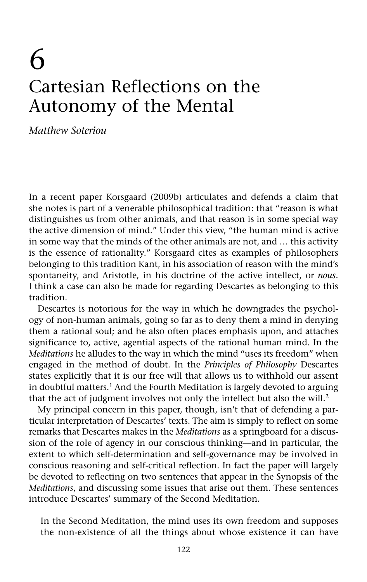# 6 Cartesian Reflections on the Autonomy of the Mental

*Matthew Soteriou*

In a recent paper Korsgaard (2009b) articulates and defends a claim that she notes is part of a venerable philosophical tradition: that "reason is what distinguishes us from other animals, and that reason is in some special way the active dimension of mind." Under this view, "the human mind is active in some way that the minds of the other animals are not, and … this activity is the essence of rationality." Korsgaard cites as examples of philosophers belonging to this tradition Kant, in his association of reason with the mind's spontaneity, and Aristotle, in his doctrine of the active intellect, or *nous*. I think a case can also be made for regarding Descartes as belonging to this tradition.

Descartes is notorious for the way in which he downgrades the psychology of non-human animals, going so far as to deny them a mind in denying them a rational soul; and he also often places emphasis upon, and attaches significance to, active, agential aspects of the rational human mind. In the *Meditations* he alludes to the way in which the mind "uses its freedom" when engaged in the method of doubt. In the *Principles of Philosophy* Descartes states explicitly that it is our free will that allows us to withhold our assent in doubtful matters.<sup>1</sup> And the Fourth Meditation is largely devoted to arguing that the act of judgment involves not only the intellect but also the will.<sup>2</sup>

My principal concern in this paper, though, isn't that of defending a particular interpretation of Descartes' texts. The aim is simply to reflect on some remarks that Descartes makes in the *Meditations* as a springboard for a discussion of the role of agency in our conscious thinking—and in particular, the extent to which self-determination and self-governance may be involved in conscious reasoning and self-critical reflection. In fact the paper will largely be devoted to reflecting on two sentences that appear in the Synopsis of the *Meditations*, and discussing some issues that arise out them. These sentences introduce Descartes' summary of the Second Meditation.

In the Second Meditation, the mind uses its own freedom and supposes the non-existence of all the things about whose existence it can have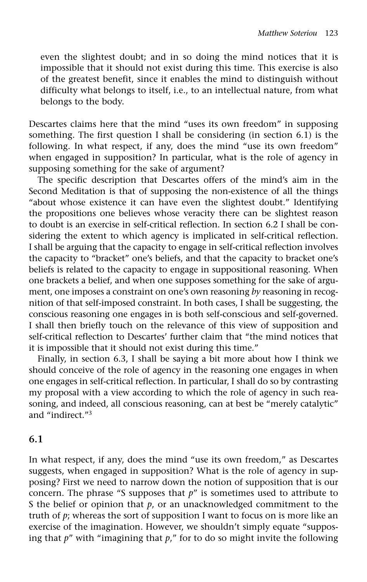even the slightest doubt; and in so doing the mind notices that it is impossible that it should not exist during this time. This exercise is also of the greatest benefit, since it enables the mind to distinguish without difficulty what belongs to itself, i.e., to an intellectual nature, from what belongs to the body.

Descartes claims here that the mind "uses its own freedom" in supposing something. The first question I shall be considering (in section  $6.1$ ) is the following. In what respect, if any, does the mind "use its own freedom" when engaged in supposition? In particular, what is the role of agency in supposing something for the sake of argument?

The specific description that Descartes offers of the mind's aim in the Second Meditation is that of supposing the non-existence of all the things "about whose existence it can have even the slightest doubt." Identifying the propositions one believes whose veracity there can be slightest reason to doubt is an exercise in self-critical reflection. In section 6.2 I shall be considering the extent to which agency is implicated in self-critical reflection. I shall be arguing that the capacity to engage in self-critical reflection involves the capacity to "bracket" one's beliefs, and that the capacity to bracket one's beliefs is related to the capacity to engage in suppositional reasoning. When one brackets a belief, and when one supposes something for the sake of argument, one imposes a constraint on one's own reasoning *by* reasoning in recognition of that self-imposed constraint. In both cases, I shall be suggesting, the conscious reasoning one engages in is both self-conscious and self-governed. I shall then briefly touch on the relevance of this view of supposition and self-critical reflection to Descartes' further claim that "the mind notices that it is impossible that it should not exist during this time."

Finally, in section 6.3, I shall be saying a bit more about how I think we should conceive of the role of agency in the reasoning one engages in when one engages in self-critical reflection. In particular, I shall do so by contrasting my proposal with a view according to which the role of agency in such reasoning, and indeed, all conscious reasoning, can at best be "merely catalytic" and "indirect."3

#### **6.1**

In what respect, if any, does the mind "use its own freedom," as Descartes suggests, when engaged in supposition? What is the role of agency in supposing? First we need to narrow down the notion of supposition that is our concern. The phrase "S supposes that *p*" is sometimes used to attribute to S the belief or opinion that  $p$ , or an unacknowledged commitment to the truth of *p*; whereas the sort of supposition I want to focus on is more like an exercise of the imagination. However, we shouldn't simply equate "supposing that  $p''$  with "imagining that  $p''$ , for to do so might invite the following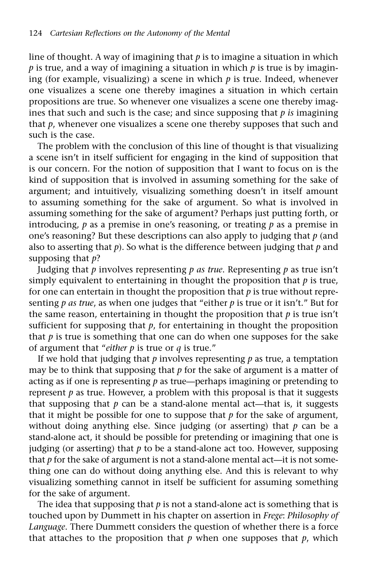line of thought. A way of imagining that *p* is to imagine a situation in which  $p$  is true, and a way of imagining a situation in which  $p$  is true is by imagining (for example, visualizing) a scene in which  $p$  is true. Indeed, whenever one visualizes a scene one thereby imagines a situation in which certain propositions are true. So whenever one visualizes a scene one thereby imagines that such and such is the case; and since supposing that  $p$  *is* imagining that  $p$ , whenever one visualizes a scene one thereby supposes that such and such is the case.

The problem with the conclusion of this line of thought is that visualizing a scene isn't in itself sufficient for engaging in the kind of supposition that is our concern. For the notion of supposition that I want to focus on is the kind of supposition that is involved in assuming something for the sake of argument; and intuitively, visualizing something doesn't in itself amount to assuming something for the sake of argument. So what is involved in assuming something for the sake of argument? Perhaps just putting forth, or introducing, *p* as a premise in one's reasoning, or treating *p* as a premise in one's reasoning? But these descriptions can also apply to judging that *p* (and also to asserting that  $p$ ). So what is the difference between judging that  $p$  and supposing that *p*?

Judging that *p* involves representing *p as true*. Representing *p* as true isn't simply equivalent to entertaining in thought the proposition that  $p$  is true, for one can entertain in thought the proposition that *p* is true without representing *p as true*, as when one judges that "either *p* is true or it isn't." But for the same reason, entertaining in thought the proposition that  $p$  is true isn't sufficient for supposing that  $p$ , for entertaining in thought the proposition that  $p$  is true is something that one can do when one supposes for the sake of argument that "*either p* is true or *q* is true."

If we hold that judging that *p* involves representing *p* as true, a temptation may be to think that supposing that  $p$  for the sake of argument is a matter of acting as if one is representing  $p$  as true—perhaps imagining or pretending to represent  $p$  as true. However, a problem with this proposal is that it suggests that supposing that  $p$  can be a stand-alone mental act—that is, it suggests that it might be possible for one to suppose that  $p$  for the sake of argument, without doing anything else. Since judging (or asserting) that  $p$  can be a stand-alone act, it should be possible for pretending or imagining that one is judging (or asserting) that  $p$  to be a stand-alone act too. However, supposing that  $p$  for the sake of argument is not a stand-alone mental act—it is not something one can do without doing anything else. And this is relevant to why visualizing something cannot in itself be sufficient for assuming something for the sake of argument.

The idea that supposing that  $p$  is not a stand-alone act is something that is touched upon by Dummett in his chapter on assertion in *Frege*: *Philosophy of Language*. There Dummett considers the question of whether there is a force that attaches to the proposition that  $p$  when one supposes that  $p$ , which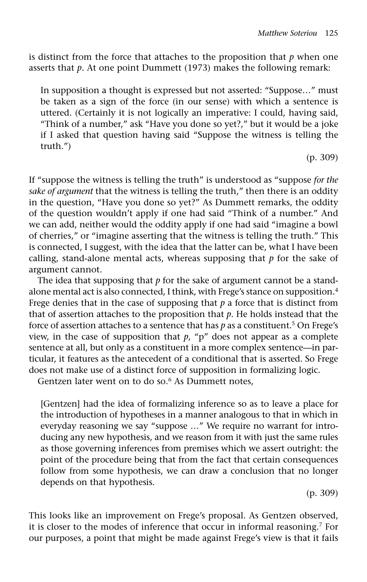is distinct from the force that attaches to the proposition that *p* when one asserts that *p*. At one point Dummett (1973) makes the following remark:

In supposition a thought is expressed but not asserted: "Suppose…" must be taken as a sign of the force (in our sense) with which a sentence is uttered. (Certainly it is not logically an imperative: I could, having said, "Think of a number," ask "Have you done so yet?," but it would be a joke if I asked that question having said "Suppose the witness is telling the truth.")

(p. 309)

If "suppose the witness is telling the truth" is understood as "suppose *for the sake of argument* that the witness is telling the truth," then there is an oddity in the question, "Have you done so yet?" As Dummett remarks, the oddity of the question wouldn't apply if one had said "Think of a number." And we can add, neither would the oddity apply if one had said "imagine a bowl of cherries," or "imagine asserting that the witness is telling the truth." This is connected, I suggest, with the idea that the latter can be, what I have been calling, stand-alone mental acts, whereas supposing that  $p$  for the sake of argument cannot.

The idea that supposing that *p* for the sake of argument cannot be a standalone mental act is also connected, I think, with Frege's stance on supposition.4 Frege denies that in the case of supposing that  $p$  a force that is distinct from that of assertion attaches to the proposition that *p*. He holds instead that the force of assertion attaches to a sentence that has  $p$  as a constituent.<sup>5</sup> On Frege's view, in the case of supposition that  $p$ , "p" does not appear as a complete sentence at all, but only as a constituent in a more complex sentence—in particular, it features as the antecedent of a conditional that is asserted. So Frege does not make use of a distinct force of supposition in formalizing logic.

Gentzen later went on to do so.<sup>6</sup> As Dummett notes,

[Gentzen] had the idea of formalizing inference so as to leave a place for the introduction of hypotheses in a manner analogous to that in which in everyday reasoning we say "suppose …" We require no warrant for introducing any new hypothesis, and we reason from it with just the same rules as those governing inferences from premises which we assert outright: the point of the procedure being that from the fact that certain consequences follow from some hypothesis, we can draw a conclusion that no longer depends on that hypothesis.

(p. 309)

This looks like an improvement on Frege's proposal. As Gentzen observed, it is closer to the modes of inference that occur in informal reasoning.7 For our purposes, a point that might be made against Frege's view is that it fails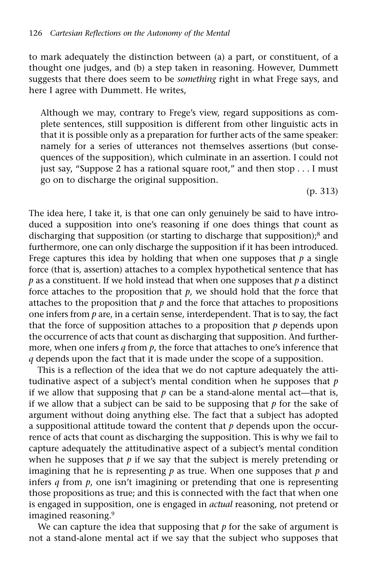to mark adequately the distinction between (a) a part, or constituent, of a thought one judges, and (b) a step taken in reasoning. However, Dummett suggests that there does seem to be *something* right in what Frege says, and here I agree with Dummett. He writes,

Although we may, contrary to Frege's view, regard suppositions as complete sentences, still supposition is different from other linguistic acts in that it is possible only as a preparation for further acts of the same speaker: namely for a series of utterances not themselves assertions (but consequences of the supposition), which culminate in an assertion. I could not just say, "Suppose 2 has a rational square root," and then stop . . . I must go on to discharge the original supposition.

(p. 313)

The idea here, I take it, is that one can only genuinely be said to have introduced a supposition into one's reasoning if one does things that count as discharging that supposition (or starting to discharge that supposition);<sup>8</sup> and furthermore, one can only discharge the supposition if it has been introduced. Frege captures this idea by holding that when one supposes that  $p$  a single force (that is, assertion) attaches to a complex hypothetical sentence that has *p* as a constituent. If we hold instead that when one supposes that *p* a distinct force attaches to the proposition that  $p$ , we should hold that the force that attaches to the proposition that  $p$  and the force that attaches to propositions one infers from *p* are, in a certain sense, interdependent. That is to say, the fact that the force of supposition attaches to a proposition that  $p$  depends upon the occurrence of acts that count as discharging that supposition. And furthermore, when one infers  $q$  from  $p$ , the force that attaches to one's inference that *q* depends upon the fact that it is made under the scope of a supposition.

This is a reflection of the idea that we do not capture adequately the attitudinative aspect of a subject's mental condition when he supposes that *p* if we allow that supposing that  $p$  can be a stand-alone mental act—that is, if we allow that a subject can be said to be supposing that  $p$  for the sake of argument without doing anything else. The fact that a subject has adopted a suppositional attitude toward the content that *p* depends upon the occurrence of acts that count as discharging the supposition. This is why we fail to capture adequately the attitudinative aspect of a subject's mental condition when he supposes that  $p$  if we say that the subject is merely pretending or imagining that he is representing  $p$  as true. When one supposes that  $p$  and infers  $q$  from  $p$ , one isn't imagining or pretending that one is representing those propositions as true; and this is connected with the fact that when one is engaged in supposition, one is engaged in *actual* reasoning, not pretend or imagined reasoning.9

We can capture the idea that supposing that  $p$  for the sake of argument is not a stand-alone mental act if we say that the subject who supposes that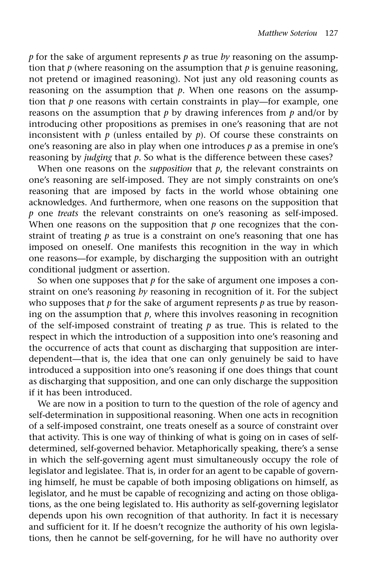*p* for the sake of argument represents *p* as true *by* reasoning on the assumption that  $p$  (where reasoning on the assumption that  $p$  is genuine reasoning, not pretend or imagined reasoning)*.* Not just any old reasoning counts as reasoning on the assumption that *p*. When one reasons on the assumption that  $\nu$  one reasons with certain constraints in play—for example, one reasons on the assumption that  $p$  by drawing inferences from  $p$  and/or by introducing other propositions as premises in one's reasoning that are not inconsistent with  $p$  (unless entailed by  $p$ ). Of course these constraints on one's reasoning are also in play when one introduces *p* as a premise in one's reasoning by *judging* that *p*. So what is the difference between these cases?

When one reasons on the *supposition* that  $p$ , the relevant constraints on one's reasoning are self-imposed. They are not simply constraints on one's reasoning that are imposed by facts in the world whose obtaining one acknowledges. And furthermore, when one reasons on the supposition that *p* one *treats* the relevant constraints on one's reasoning as self-imposed. When one reasons on the supposition that  $p$  one recognizes that the constraint of treating  $p$  as true is a constraint on one's reasoning that one has imposed on oneself. One manifests this recognition in the way in which one reasons—for example, by discharging the supposition with an outright conditional judgment or assertion.

So when one supposes that *p* for the sake of argument one imposes a constraint on one's reasoning *by* reasoning in recognition of it. For the subject who supposes that  $p$  for the sake of argument represents  $p$  as true by reasoning on the assumption that  $p$ , where this involves reasoning in recognition of the self-imposed constraint of treating *p* as true. This is related to the respect in which the introduction of a supposition into one's reasoning and the occurrence of acts that count as discharging that supposition are interdependent—that is, the idea that one can only genuinely be said to have introduced a supposition into one's reasoning if one does things that count as discharging that supposition, and one can only discharge the supposition if it has been introduced.

We are now in a position to turn to the question of the role of agency and self-determination in suppositional reasoning. When one acts in recognition of a self-imposed constraint, one treats oneself as a source of constraint over that activity. This is one way of thinking of what is going on in cases of selfdetermined, self-governed behavior. Metaphorically speaking, there's a sense in which the self-governing agent must simultaneously occupy the role of legislator and legislatee. That is, in order for an agent to be capable of governing himself, he must be capable of both imposing obligations on himself, as legislator, and he must be capable of recognizing and acting on those obligations, as the one being legislated to. His authority as self-governing legislator depends upon his own recognition of that authority. In fact it is necessary and sufficient for it. If he doesn't recognize the authority of his own legislations, then he cannot be self-governing, for he will have no authority over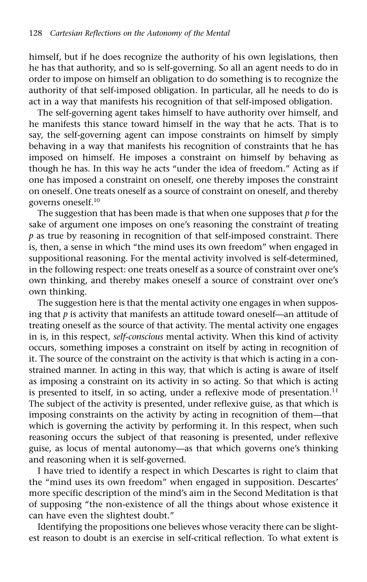himself, but if he does recognize the authority of his own legislations, then he has that authority, and so is self-governing. So all an agent needs to do in order to impose on himself an obligation to do something is to recognize the authority of that self-imposed obligation. In particular, all he needs to do is act in a way that manifests his recognition of that self-imposed obligation.

The self-governing agent takes himself to have authority over himself, and he manifests this stance toward himself in the way that he acts. That is to say, the self-governing agent can impose constraints on himself by simply behaving in a way that manifests his recognition of constraints that he has imposed on himself. He imposes a constraint on himself by behaving as though he has. In this way he acts "under the idea of freedom." Acting as if one has imposed a constraint on oneself, one thereby imposes the constraint on oneself. One treats oneself as a source of constraint on oneself, and thereby governs oneself.10

The suggestion that has been made is that when one supposes that *p* for the sake of argument one imposes on one's reasoning the constraint of treating *p* as true by reasoning in recognition of that self-imposed constraint. There is, then, a sense in which "the mind uses its own freedom" when engaged in suppositional reasoning. For the mental activity involved is self-determined, in the following respect: one treats oneself as a source of constraint over one's own thinking, and thereby makes oneself a source of constraint over one's own thinking.

The suggestion here is that the mental activity one engages in when supposing that  $p$  is activity that manifests an attitude toward oneself—an attitude of treating oneself as the source of that activity. The mental activity one engages in is, in this respect, *self-conscious* mental activity. When this kind of activity occurs, something imposes a constraint on itself by acting in recognition of it. The source of the constraint on the activity is that which is acting in a constrained manner. In acting in this way, that which is acting is aware of itself as imposing a constraint on its activity in so acting. So that which is acting is presented to itself, in so acting, under a reflexive mode of presentation.<sup>11</sup> The subject of the activity is presented, under reflexive guise, as that which is imposing constraints on the activity by acting in recognition of them—that which is governing the activity by performing it. In this respect, when such reasoning occurs the subject of that reasoning is presented, under reflexive guise, as locus of mental autonomy—as that which governs one's thinking and reasoning when it is self-governed.

I have tried to identify a respect in which Descartes is right to claim that the "mind uses its own freedom" when engaged in supposition. Descartes' more specific description of the mind's aim in the Second Meditation is that of supposing "the non-existence of all the things about whose existence it can have even the slightest doubt."

Identifying the propositions one believes whose veracity there can be slightest reason to doubt is an exercise in self-critical reflection. To what extent is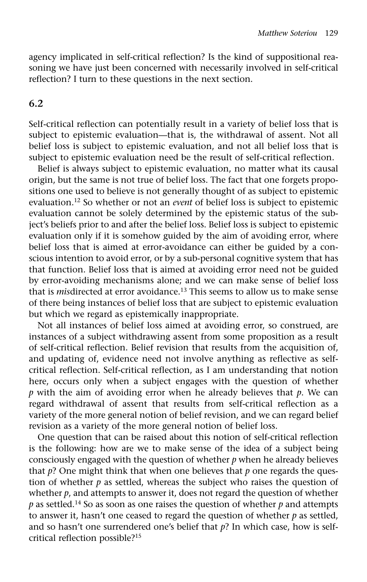agency implicated in self-critical reflection? Is the kind of suppositional reasoning we have just been concerned with necessarily involved in self-critical reflection? I turn to these questions in the next section.

## **6.2**

Self-critical reflection can potentially result in a variety of belief loss that is subject to epistemic evaluation—that is, the withdrawal of assent. Not all belief loss is subject to epistemic evaluation, and not all belief loss that is subject to epistemic evaluation need be the result of self-critical reflection.

Belief is always subject to epistemic evaluation, no matter what its causal origin, but the same is not true of belief loss. The fact that one forgets propositions one used to believe is not generally thought of as subject to epistemic evaluation.12 So whether or not an *event* of belief loss is subject to epistemic evaluation cannot be solely determined by the epistemic status of the subject's beliefs prior to and after the belief loss. Belief loss is subject to epistemic evaluation only if it is somehow guided by the aim of avoiding error, where belief loss that is aimed at error-avoidance can either be guided by a conscious intention to avoid error, or by a sub-personal cognitive system that has that function. Belief loss that is aimed at avoiding error need not be guided by error-avoiding mechanisms alone; and we can make sense of belief loss that is *mis*directed at error avoidance.13 This seems to allow us to make sense of there being instances of belief loss that are subject to epistemic evaluation but which we regard as epistemically inappropriate.

Not all instances of belief loss aimed at avoiding error, so construed, are instances of a subject withdrawing assent from some proposition as a result of self-critical reflection. Belief revision that results from the acquisition of, and updating of, evidence need not involve anything as reflective as selfcritical reflection. Self-critical reflection, as I am understanding that notion here, occurs only when a subject engages with the question of whether *p* with the aim of avoiding error when he already believes that *p*. We can regard withdrawal of assent that results from self-critical reflection as a variety of the more general notion of belief revision, and we can regard belief revision as a variety of the more general notion of belief loss.

One question that can be raised about this notion of self-critical reflection is the following: how are we to make sense of the idea of a subject being consciously engaged with the question of whether *p* when he already believes that  $p$ ? One might think that when one believes that  $p$  one regards the question of whether  $p$  as settled, whereas the subject who raises the question of whether *p*, and attempts to answer it, does not regard the question of whether *p* as settled.14 So as soon as one raises the question of whether *p* and attempts to answer it, hasn't one ceased to regard the question of whether *p* as settled, and so hasn't one surrendered one's belief that *p*? In which case, how is selfcritical reflection possible?15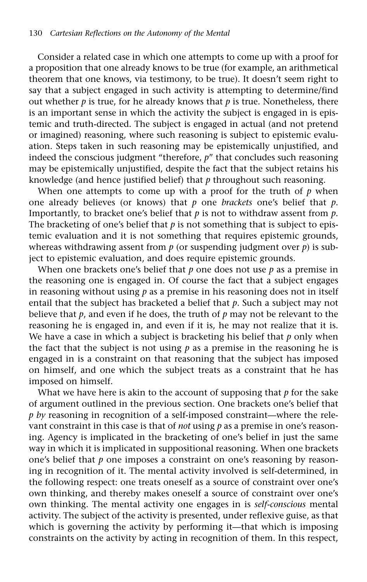Consider a related case in which one attempts to come up with a proof for a proposition that one already knows to be true (for example, an arithmetical theorem that one knows, via testimony, to be true). It doesn't seem right to say that a subject engaged in such activity is attempting to determine/find out whether *p* is true, for he already knows that *p* is true. Nonetheless, there is an important sense in which the activity the subject is engaged in is epistemic and truth-directed. The subject is engaged in actual (and not pretend or imagined) reasoning, where such reasoning is subject to epistemic evaluation. Steps taken in such reasoning may be epistemically unjustified, and indeed the conscious judgment "therefore, *p*" that concludes such reasoning may be epistemically unjustified, despite the fact that the subject retains his knowledge (and hence justified belief) that *p* throughout such reasoning.

When one attempts to come up with a proof for the truth of *p* when one already believes (or knows) that *p* one *brackets* one's belief that *p*. Importantly, to bracket one's belief that  $p$  is not to withdraw assent from  $p$ . The bracketing of one's belief that  $p$  is not something that is subject to epistemic evaluation and it is not something that requires epistemic grounds, whereas withdrawing assent from  $p$  (or suspending judgment over  $\tilde{p}$ ) is subject to epistemic evaluation, and does require epistemic grounds.

When one brackets one's belief that *p* one does not use *p* as a premise in the reasoning one is engaged in. Of course the fact that a subject engages in reasoning without using *p* as a premise in his reasoning does not in itself entail that the subject has bracketed a belief that *p*. Such a subject may not believe that *p*, and even if he does, the truth of *p* may not be relevant to the reasoning he is engaged in, and even if it is, he may not realize that it is. We have a case in which a subject is bracketing his belief that *p* only when the fact that the subject is not using  $p$  as a premise in the reasoning he is engaged in is a constraint on that reasoning that the subject has imposed on himself, and one which the subject treats as a constraint that he has imposed on himself.

What we have here is akin to the account of supposing that *p* for the sake of argument outlined in the previous section. One brackets one's belief that *p by* reasoning in recognition of a self-imposed constraint—where the relevant constraint in this case is that of *not* using *p* as a premise in one's reasoning. Agency is implicated in the bracketing of one's belief in just the same way in which it is implicated in suppositional reasoning. When one brackets one's belief that  $p$  one imposes a constraint on one's reasoning by reasoning in recognition of it. The mental activity involved is self- determined, in the following respect: one treats oneself as a source of constraint over one's own thinking, and thereby makes oneself a source of constraint over one's own thinking. The mental activity one engages in is *self-conscious* mental activity. The subject of the activity is presented, under reflexive guise, as that which is governing the activity by performing it—that which is imposing constraints on the activity by acting in recognition of them. In this respect,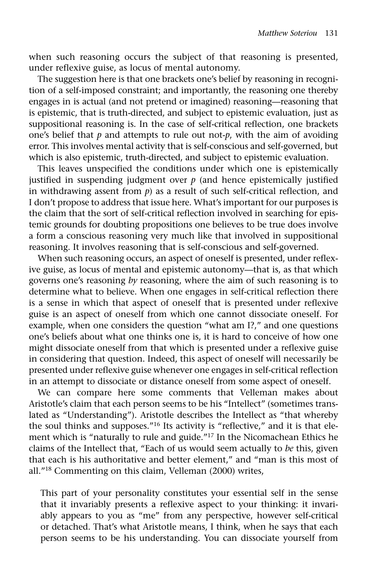when such reasoning occurs the subject of that reasoning is presented, under reflexive guise, as locus of mental autonomy.

The suggestion here is that one brackets one's belief by reasoning in recognition of a self-imposed constraint; and importantly, the reasoning one thereby engages in is actual (and not pretend or imagined) reasoning—reasoning that is epistemic, that is truth-directed, and subject to epistemic evaluation, just as suppositional reasoning is. In the case of self-critical reflection, one brackets one's belief that *p* and attempts to rule out not-*p*, with the aim of avoiding error. This involves mental activity that is self-conscious and self-governed, but which is also epistemic, truth-directed, and subject to epistemic evaluation.

This leaves unspecified the conditions under which one is epistemically justified in suspending judgment over  $p$  (and hence epistemically justified in withdrawing assent from  $p$ ) as a result of such self-critical reflection, and I don't propose to address that issue here. What's important for our purposes is the claim that the sort of self-critical reflection involved in searching for epistemic grounds for doubting propositions one believes to be true does involve a form a conscious reasoning very much like that involved in suppositional reasoning. It involves reasoning that is self-conscious and self-governed.

When such reasoning occurs, an aspect of oneself is presented, under reflexive guise, as locus of mental and epistemic autonomy—that is, as that which governs one's reasoning *by* reasoning, where the aim of such reasoning is to determine what to believe. When one engages in self-critical reflection there is a sense in which that aspect of oneself that is presented under reflexive guise is an aspect of oneself from which one cannot dissociate oneself. For example, when one considers the question "what am I?," and one questions one's beliefs about what one thinks one is, it is hard to conceive of how one might dissociate oneself from that which is presented under a reflexive guise in considering that question. Indeed, this aspect of oneself will necessarily be presented under reflexive guise whenever one engages in self-critical reflection in an attempt to dissociate or distance oneself from some aspect of oneself.

We can compare here some comments that Velleman makes about Aristotle's claim that each person seems to be his "Intellect" (sometimes translated as "Understanding"). Aristotle describes the Intellect as "that whereby the soul thinks and supposes."16 Its activity is "reflective," and it is that element which is "naturally to rule and guide."17 In the Nicomachean Ethics he claims of the Intellect that, "Each of us would seem actually to *be* this, given that each is his authoritative and better element," and "man is this most of all."18 Commenting on this claim, Velleman (2000) writes,

This part of your personality constitutes your essential self in the sense that it invariably presents a reflexive aspect to your thinking: it invariably appears to you as "me" from any perspective, however self-critical or detached. That's what Aristotle means, I think, when he says that each person seems to be his understanding. You can dissociate yourself from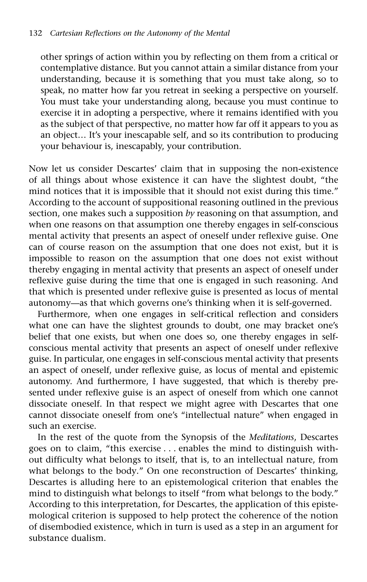other springs of action within you by reflecting on them from a critical or contemplative distance. But you cannot attain a similar distance from your understanding, because it is something that you must take along, so to speak, no matter how far you retreat in seeking a perspective on yourself. You must take your understanding along, because you must continue to exercise it in adopting a perspective, where it remains identified with you as the subject of that perspective, no matter how far off it appears to you as an object… It's your inescapable self, and so its contribution to producing your behaviour is, inescapably, your contribution.

Now let us consider Descartes' claim that in supposing the non-existence of all things about whose existence it can have the slightest doubt, "the mind notices that it is impossible that it should not exist during this time." According to the account of suppositional reasoning outlined in the previous section, one makes such a supposition *by* reasoning on that assumption, and when one reasons on that assumption one thereby engages in self-conscious mental activity that presents an aspect of oneself under reflexive guise. One can of course reason on the assumption that one does not exist, but it is impossible to reason on the assumption that one does not exist without thereby engaging in mental activity that presents an aspect of oneself under reflexive guise during the time that one is engaged in such reasoning. And that which is presented under reflexive guise is presented as locus of mental autonomy—as that which governs one's thinking when it is self-governed.

Furthermore, when one engages in self-critical reflection and considers what one can have the slightest grounds to doubt, one may bracket one's belief that one exists, but when one does so, one thereby engages in selfconscious mental activity that presents an aspect of oneself under reflexive guise. In particular, one engages in self-conscious mental activity that presents an aspect of oneself, under reflexive guise, as locus of mental and epistemic autonomy. And furthermore, I have suggested, that which is thereby presented under reflexive guise is an aspect of oneself from which one cannot dissociate oneself. In that respect we might agree with Descartes that one cannot dissociate oneself from one's "intellectual nature" when engaged in such an exercise.

In the rest of the quote from the Synopsis of the *Meditations*, Descartes goes on to claim, "this exercise . . . enables the mind to distinguish without difficulty what belongs to itself, that is, to an intellectual nature, from what belongs to the body." On one reconstruction of Descartes' thinking, Descartes is alluding here to an epistemological criterion that enables the mind to distinguish what belongs to itself "from what belongs to the body." According to this interpretation, for Descartes, the application of this epistemological criterion is supposed to help protect the coherence of the notion of disembodied existence, which in turn is used as a step in an argument for substance dualism.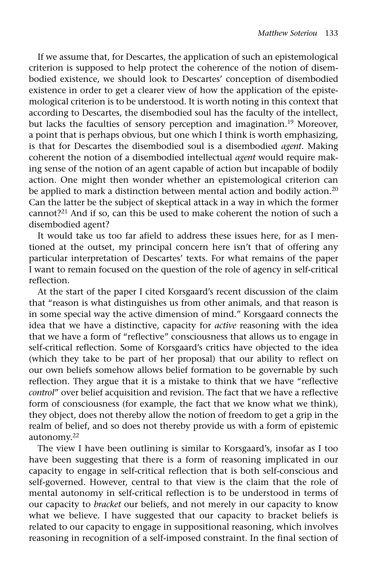If we assume that, for Descartes, the application of such an epistemological criterion is supposed to help protect the coherence of the notion of disembodied existence, we should look to Descartes' conception of disembodied existence in order to get a clearer view of how the application of the epistemological criterion is to be understood. It is worth noting in this context that according to Descartes, the disembodied soul has the faculty of the intellect, but lacks the faculties of sensory perception and imagination.<sup>19</sup> Moreover, a point that is perhaps obvious, but one which I think is worth emphasizing, is that for Descartes the disembodied soul is a disembodied *agent*. Making coherent the notion of a disembodied intellectual *agent* would require making sense of the notion of an agent capable of action but incapable of bodily action. One might then wonder whether an epistemological criterion can be applied to mark a distinction between mental action and bodily action.<sup>20</sup> Can the latter be the subject of skeptical attack in a way in which the former cannot?21 And if so, can this be used to make coherent the notion of such a disembodied agent?

It would take us too far afield to address these issues here, for as I mentioned at the outset, my principal concern here isn't that of offering any particular interpretation of Descartes' texts. For what remains of the paper I want to remain focused on the question of the role of agency in self-critical reflection.

At the start of the paper I cited Korsgaard's recent discussion of the claim that "reason is what distinguishes us from other animals, and that reason is in some special way the active dimension of mind." Korsgaard connects the idea that we have a distinctive, capacity for *active* reasoning with the idea that we have a form of "reflective" consciousness that allows us to engage in self-critical reflection. Some of Korsgaard's critics have objected to the idea (which they take to be part of her proposal) that our ability to reflect on our own beliefs somehow allows belief formation to be governable by such reflection. They argue that it is a mistake to think that we have "reflective *control*" over belief acquisition and revision. The fact that we have a reflective form of consciousness (for example, the fact that we know what we think), they object, does not thereby allow the notion of freedom to get a grip in the realm of belief, and so does not thereby provide us with a form of epistemic autonomy.22

The view I have been outlining is similar to Korsgaard's, insofar as I too have been suggesting that there is a form of reasoning implicated in our capacity to engage in self-critical reflection that is both self-conscious and self-governed. However, central to that view is the claim that the role of mental autonomy in self-critical reflection is to be understood in terms of our capacity to *bracket* our beliefs, and not merely in our capacity to know what we believe. I have suggested that our capacity to bracket beliefs is related to our capacity to engage in suppositional reasoning, which involves reasoning in recognition of a self-imposed constraint. In the final section of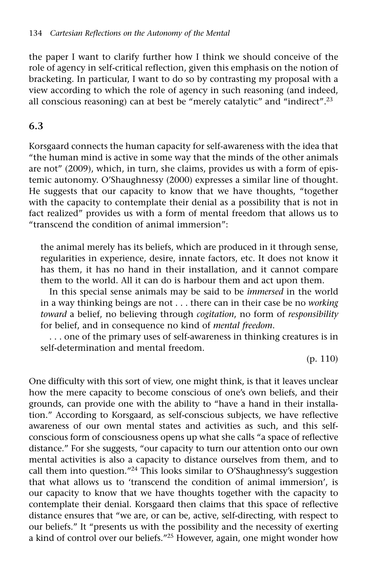the paper I want to clarify further how I think we should conceive of the role of agency in self-critical reflection, given this emphasis on the notion of bracketing. In particular, I want to do so by contrasting my proposal with a view according to which the role of agency in such reasoning (and indeed, all conscious reasoning) can at best be "merely catalytic" and "indirect".23

## **6.3**

Korsgaard connects the human capacity for self-awareness with the idea that "the human mind is active in some way that the minds of the other animals are not" (2009), which, in turn, she claims, provides us with a form of epistemic autonomy. O'Shaughnessy (2000) expresses a similar line of thought. He suggests that our capacity to know that we have thoughts, "together with the capacity to contemplate their denial as a possibility that is not in fact realized" provides us with a form of mental freedom that allows us to "transcend the condition of animal immersion":

the animal merely has its beliefs, which are produced in it through sense, regularities in experience, desire, innate factors, etc. It does not know it has them, it has no hand in their installation, and it cannot compare them to the world. All it can do is harbour them and act upon them.

In this special sense animals may be said to be *immersed* in the world in a way thinking beings are not . . . there can in their case be no *working toward* a belief, no believing through *cogitation*, no form of *responsibility* for belief, and in consequence no kind of *mental freedom*.

. . . one of the primary uses of self-awareness in thinking creatures is in self-determination and mental freedom.

(p. 110)

One difficulty with this sort of view, one might think, is that it leaves unclear how the mere capacity to become conscious of one's own beliefs, and their grounds, can provide one with the ability to "have a hand in their installation." According to Korsgaard, as self-conscious subjects, we have reflective awareness of our own mental states and activities as such, and this selfconscious form of consciousness opens up what she calls "a space of reflective distance." For she suggests, "our capacity to turn our attention onto our own mental activities is also a capacity to distance ourselves from them, and to call them into question."24 This looks similar to O'Shaughnessy's suggestion that what allows us to 'transcend the condition of animal immersion', is our capacity to know that we have thoughts together with the capacity to contemplate their denial. Korsgaard then claims that this space of reflective distance ensures that "we are, or can be, active, self-directing, with respect to our beliefs." It "presents us with the possibility and the necessity of exerting a kind of control over our beliefs."25 However, again, one might wonder how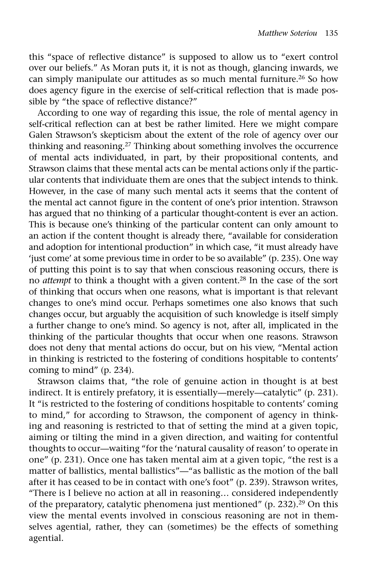this "space of reflective distance" is supposed to allow us to "exert control over our beliefs." As Moran puts it, it is not as though, glancing inwards, we can simply manipulate our attitudes as so much mental furniture.<sup>26</sup> So how does agency figure in the exercise of self-critical reflection that is made possible by "the space of reflective distance?"

According to one way of regarding this issue, the role of mental agency in self-critical reflection can at best be rather limited. Here we might compare Galen Strawson's skepticism about the extent of the role of agency over our thinking and reasoning.27 Thinking about something involves the occurrence of mental acts individuated, in part, by their propositional contents, and Strawson claims that these mental acts can be mental actions only if the particular contents that individuate them are ones that the subject intends to think. However, in the case of many such mental acts it seems that the content of the mental act cannot figure in the content of one's prior intention. Strawson has argued that no thinking of a particular thought-content is ever an action. This is because one's thinking of the particular content can only amount to an action if the content thought is already there, "available for consideration and adoption for intentional production" in which case, "it must already have 'just come' at some previous time in order to be so available" (p. 235). One way of putting this point is to say that when conscious reasoning occurs, there is no *attempt* to think a thought with a given content.28 In the case of the sort of thinking that occurs when one reasons, what is important is that relevant changes to one's mind occur. Perhaps sometimes one also knows that such changes occur, but arguably the acquisition of such knowledge is itself simply a further change to one's mind. So agency is not, after all, implicated in the thinking of the particular thoughts that occur when one reasons. Strawson does not deny that mental actions do occur, but on his view, "Mental action in thinking is restricted to the fostering of conditions hospitable to contents' coming to mind" (p. 234).

Strawson claims that, "the role of genuine action in thought is at best indirect. It is entirely prefatory, it is essentially—merely—catalytic" (p. 231). It "is restricted to the fostering of conditions hospitable to contents' coming to mind," for according to Strawson, the component of agency in thinking and reasoning is restricted to that of setting the mind at a given topic, aiming or tilting the mind in a given direction, and waiting for contentful thoughts to occur—waiting "for the 'natural causality of reason' to operate in one" (p. 231). Once one has taken mental aim at a given topic, "the rest is a matter of ballistics, mental ballistics"—"as ballistic as the motion of the ball after it has ceased to be in contact with one's foot" (p. 239). Strawson writes, "There is I believe no action at all in reasoning… considered independently of the preparatory, catalytic phenomena just mentioned" (p. 232).29 On this view the mental events involved in conscious reasoning are not in themselves agential, rather, they can (sometimes) be the effects of something agential.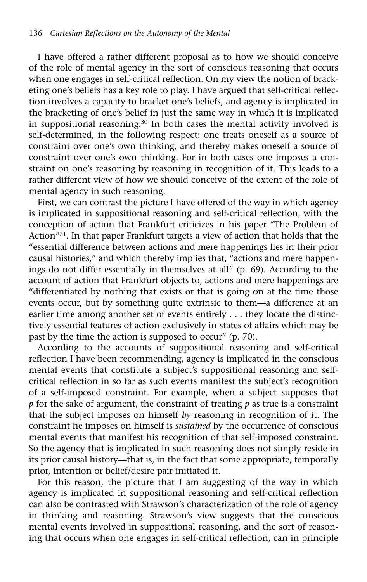I have offered a rather different proposal as to how we should conceive of the role of mental agency in the sort of conscious reasoning that occurs when one engages in self-critical reflection. On my view the notion of bracketing one's beliefs has a key role to play. I have argued that self-critical reflection involves a capacity to bracket one's beliefs, and agency is implicated in the bracketing of one's belief in just the same way in which it is implicated in suppositional reasoning.30 In both cases the mental activity involved is self-determined, in the following respect: one treats oneself as a source of constraint over one's own thinking, and thereby makes oneself a source of constraint over one's own thinking. For in both cases one imposes a constraint on one's reasoning by reasoning in recognition of it. This leads to a rather different view of how we should conceive of the extent of the role of mental agency in such reasoning.

First, we can contrast the picture I have offered of the way in which agency is implicated in suppositional reasoning and self-critical reflection, with the conception of action that Frankfurt criticizes in his paper "The Problem of Action"31. In that paper Frankfurt targets a view of action that holds that the "essential difference between actions and mere happenings lies in their prior causal histories," and which thereby implies that, "actions and mere happenings do not differ essentially in themselves at all" (p. 69). According to the account of action that Frankfurt objects to, actions and mere happenings are "differentiated by nothing that exists or that is going on at the time those events occur, but by something quite extrinsic to them—a difference at an earlier time among another set of events entirely . . . they locate the distinctively essential features of action exclusively in states of affairs which may be past by the time the action is supposed to occur" (p. 70).

According to the accounts of suppositional reasoning and self-critical reflection I have been recommending, agency is implicated in the conscious mental events that constitute a subject's suppositional reasoning and selfcritical reflection in so far as such events manifest the subject's recognition of a self-imposed constraint. For example, when a subject supposes that  $p$  for the sake of argument, the constraint of treating  $p$  as true is a constraint that the subject imposes on himself *by* reasoning in recognition of it. The constraint he imposes on himself is *sustained* by the occurrence of conscious mental events that manifest his recognition of that self-imposed constraint. So the agency that is implicated in such reasoning does not simply reside in its prior causal history—that is, in the fact that some appropriate, temporally prior, intention or belief/desire pair initiated it.

For this reason, the picture that I am suggesting of the way in which agency is implicated in suppositional reasoning and self-critical reflection can also be contrasted with Strawson's characterization of the role of agency in thinking and reasoning. Strawson's view suggests that the conscious mental events involved in suppositional reasoning, and the sort of reasoning that occurs when one engages in self-critical reflection, can in principle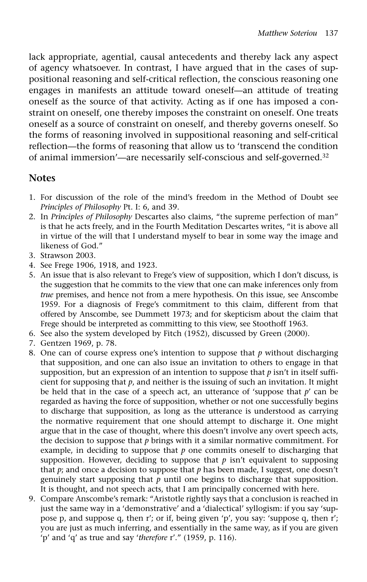lack appropriate, agential, causal antecedents and thereby lack any aspect of agency whatsoever. In contrast, I have argued that in the cases of suppositional reasoning and self-critical reflection, the conscious reasoning one engages in manifests an attitude toward oneself—an attitude of treating oneself as the source of that activity. Acting as if one has imposed a constraint on oneself, one thereby imposes the constraint on oneself. One treats oneself as a source of constraint on oneself, and thereby governs oneself. So the forms of reasoning involved in suppositional reasoning and self-critical reflection—the forms of reasoning that allow us to 'transcend the condition of animal immersion'—are necessarily self-conscious and self-governed.32

## **Notes**

- 1. For discussion of the role of the mind's freedom in the Method of Doubt see *Principles of Philosophy* Pt. I: 6, and 39.
- 2. In *Principles of Philosophy* Descartes also claims, "the supreme perfection of man" is that he acts freely, and in the Fourth Meditation Descartes writes, "it is above all in virtue of the will that I understand myself to bear in some way the image and likeness of God."
- 3. Strawson 2003.
- 4. See Frege 1906, 1918, and 1923.
- 5. An issue that is also relevant to Frege's view of supposition, which I don't discuss, is the suggestion that he commits to the view that one can make inferences only from *true* premises, and hence not from a mere hypothesis. On this issue, see Anscombe 1959. For a diagnosis of Frege's commitment to this claim, different from that offered by Anscombe, see Dummett 1973; and for skepticism about the claim that Frege should be interpreted as committing to this view, see Stoothoff 1963.
- 6. See also the system developed by Fitch (1952), discussed by Green (2000).
- 7. Gentzen 1969, p. 78.
- 8. One can of course express one's intention to suppose that  $p$  without discharging that supposition, and one can also issue an invitation to others to engage in that supposition, but an expression of an intention to suppose that *p* isn't in itself sufficient for supposing that *p*, and neither is the issuing of such an invitation. It might be held that in the case of a speech act, an utterance of 'suppose that  $p'$  can be regarded as having the force of supposition, whether or not one successfully begins to discharge that supposition, as long as the utterance is understood as carrying the normative requirement that one should attempt to discharge it. One might argue that in the case of thought, where this doesn't involve any overt speech acts, the decision to suppose that *p* brings with it a similar normative commitment. For example, in deciding to suppose that  $p$  one commits oneself to discharging that supposition. However, deciding to suppose that  $p$  isn't equivalent to supposing that *p*; and once a decision to suppose that *p* has been made, I suggest, one doesn't genuinely start supposing that  $p$  until one begins to discharge that supposition. It is thought, and not speech acts, that I am principally concerned with here.
- 9. Compare Anscombe's remark: "Aristotle rightly says that a conclusion is reached in just the same way in a 'demonstrative' and a 'dialectical' syllogism: if you say 'suppose p, and suppose q, then r'; or if, being given 'p', you say: 'suppose q, then r'; you are just as much inferring, and essentially in the same way, as if you are given 'p' and 'q' as true and say '*therefore* r'." (1959, p. 116).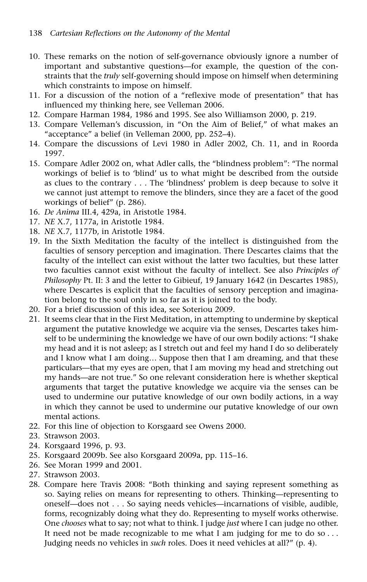- 10. These remarks on the notion of self-governance obviously ignore a number of important and substantive questions—for example, the question of the constraints that the *truly* self-governing should impose on himself when determining which constraints to impose on himself.
- 11. For a discussion of the notion of a "reflexive mode of presentation" that has influenced my thinking here, see Velleman 2006.
- 12. Compare Harman 1984, 1986 and 1995. See also Williamson 2000, p. 219.
- 13. Compare Velleman's discussion, in "On the Aim of Belief," of what makes an "acceptance" a belief (in Velleman 2000, pp. 252–4).
- 14. Compare the discussions of Levi 1980 in Adler 2002, Ch. 11, and in Roorda 1997.
- 15. Compare Adler 2002 on, what Adler calls, the "blindness problem": "The normal workings of belief is to 'blind' us to what might be described from the outside as clues to the contrary . . . The 'blindness' problem is deep because to solve it we cannot just attempt to remove the blinders, since they are a facet of the good workings of belief" (p. 286).
- 16. *De Anima* III.4, 429a, in Aristotle 1984.
- 17. *NE* X.7, 1177a, in Aristotle 1984.
- 18. *NE* X.7, 1177b, in Aristotle 1984.
- 19. In the Sixth Meditation the faculty of the intellect is distinguished from the faculties of sensory perception and imagination. There Descartes claims that the faculty of the intellect can exist without the latter two faculties, but these latter two faculties cannot exist without the faculty of intellect. See also *Principles of Philosophy* Pt. II: 3 and the letter to Gibieuf, 19 January 1642 (in Descartes 1985), where Descartes is explicit that the faculties of sensory perception and imagination belong to the soul only in so far as it is joined to the body.
- 20. For a brief discussion of this idea, see Soteriou 2009.
- 21. It seems clear that in the First Meditation, in attempting to undermine by skeptical argument the putative knowledge we acquire via the senses, Descartes takes himself to be undermining the knowledge we have of our own bodily actions: "I shake my head and it is not asleep; as I stretch out and feel my hand I do so deliberately and I know what I am doing… Suppose then that I am dreaming, and that these particulars—that my eyes are open, that I am moving my head and stretching out my hands—are not true." So one relevant consideration here is whether skeptical arguments that target the putative knowledge we acquire via the senses can be used to undermine our putative knowledge of our own bodily actions, in a way in which they cannot be used to undermine our putative knowledge of our own mental actions.
- 22. For this line of objection to Korsgaard see Owens 2000.
- 23. Strawson 2003.
- 24. Korsgaard 1996, p. 93.
- 25. Korsgaard 2009b. See also Korsgaard 2009a, pp. 115–16.
- 26. See Moran 1999 and 2001.
- 27. Strawson 2003.
- 28. Compare here Travis 2008: "Both thinking and saying represent something as so. Saying relies on means for representing to others. Thinking—representing to oneself—does not . . . So saying needs vehicles—incarnations of visible, audible, forms, recognizably doing what they do. Representing to myself works otherwise. One *chooses* what to say; not what to think. I judge *just* where I can judge no other. It need not be made recognizable to me what I am judging for me to do so . . . Judging needs no vehicles in *such* roles. Does it need vehicles at all?" (p. 4).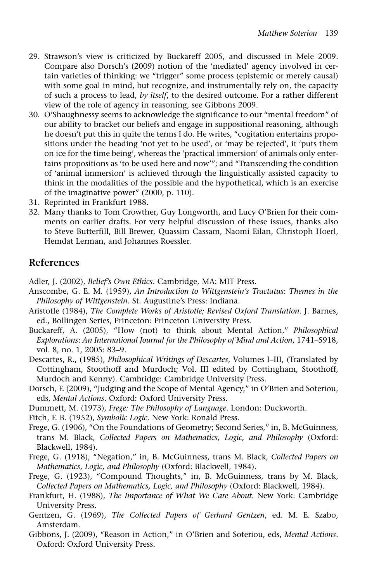- 29. Strawson's view is criticized by Buckareff 2005, and discussed in Mele 2009. Compare also Dorsch's (2009) notion of the 'mediated' agency involved in certain varieties of thinking: we "trigger" some process (epistemic or merely causal) with some goal in mind, but recognize, and instrumentally rely on, the capacity of such a process to lead, *by itself*, to the desired outcome. For a rather different view of the role of agency in reasoning, see Gibbons 2009.
- 30. O'Shaughnessy seems to acknowledge the significance to our "mental freedom" of our ability to bracket our beliefs and engage in suppositional reasoning, although he doesn't put this in quite the terms I do. He writes, "cogitation entertains propositions under the heading 'not yet to be used', or 'may be rejected', it 'puts them on ice for the time being', whereas the 'practical immersion' of animals only entertains propositions as 'to be used here and now'"; and "Transcending the condition of 'animal immersion' is achieved through the linguistically assisted capacity to think in the modalities of the possible and the hypothetical, which is an exercise of the imaginative power" (2000, p. 110).
- 31. Reprinted in Frankfurt 1988.
- 32. Many thanks to Tom Crowther, Guy Longworth, and Lucy O'Brien for their comments on earlier drafts. For very helpful discussion of these issues, thanks also to Steve Butterfill, Bill Brewer, Quassim Cassam, Naomi Eilan, Christoph Hoerl, Hemdat Lerman, and Johannes Roessler.

#### **References**

Adler, J. (2002), *Belief's Own Ethics*. Cambridge, MA: MIT Press.

- Anscombe, G. E. M. (1959), *An Introduction to Wittgenstein's Tractatus*: *Themes in the Philosophy of Wittgenstein*. St. Augustine's Press: Indiana.
- Aristotle (1984), *The Complete Works of Aristotle; Revised Oxford Translation*. J. Barnes, ed., Bollingen Series, Princeton: Princeton University Press.
- Buckareff, A. (2005), "How (not) to think about Mental Action," *Philosophical Explorations*: *An International Journal for the Philosophy of Mind and Action*, 1741–5918, vol. 8, no. 1, 2005: 83–9.
- Descartes, R., (1985), *Philosophical Writings of Descartes*, Volumes I–III, (Translated by Cottingham, Stoothoff and Murdoch; Vol. III edited by Cottingham, Stoothoff, Murdoch and Kenny). Cambridge: Cambridge University Press.
- Dorsch, F. (2009), "Judging and the Scope of Mental Agency," in O'Brien and Soteriou, eds, *Mental Actions*. Oxford: Oxford University Press.
- Dummett, M. (1973), *Frege: The Philosophy of Language*. London: Duckworth.
- Fitch, F. B. (1952), *Symbolic Logic*. New York: Ronald Press.
- Frege, G. (1906), "On the Foundations of Geometry; Second Series," in, B. McGuinness, trans M. Black, *Collected Papers on Mathematics, Logic, and Philosophy* (Oxford: Blackwell, 1984).
- Frege, G. (1918), "Negation," in, B. McGuinness, trans M. Black, *Collected Papers on Mathematics, Logic, and Philosophy* (Oxford: Blackwell, 1984).
- Frege, G. (1923), "Compound Thoughts," in, B. McGuinness, trans by M. Black, *Collected Papers on Mathematics, Logic, and Philosophy* (Oxford: Blackwell, 1984).
- Frankfurt, H. (1988), *The Importance of What We Care About*. New York: Cambridge University Press.
- Gentzen, G. (1969), *The Collected Papers of Gerhard Gentzen*, ed. M. E. Szabo, Amsterdam.
- Gibbons, J. (2009), "Reason in Action," in O'Brien and Soteriou, eds, *Mental Actions*. Oxford: Oxford University Press.